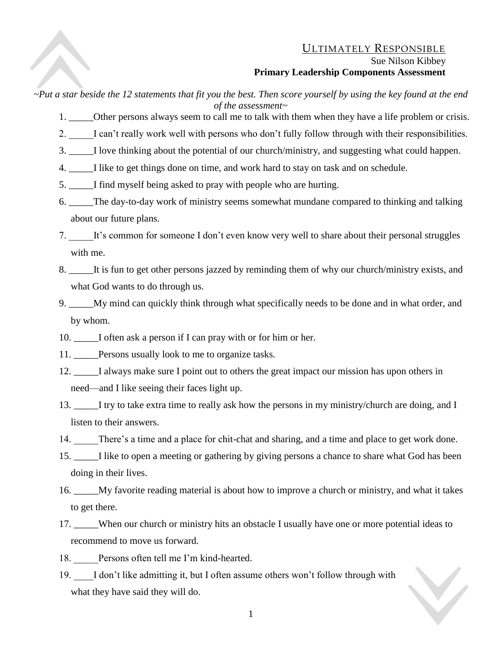## ULTIMATELY RESPONSIBLE Sue Nilson Kibbey **Primary Leadership Components Assessment**

*~Put a star beside the 12 statements that fit you the best. Then score yourself by using the key found at the end of the assessment~*

- 1. \_\_\_\_\_\_\_Other persons always seem to call me to talk with them when they have a life problem or crisis.
- 2. \_\_\_\_\_I can't really work well with persons who don't fully follow through with their responsibilities.
- 3. \_\_\_\_\_I love thinking about the potential of our church/ministry, and suggesting what could happen.
- 4. \_\_\_\_\_I like to get things done on time, and work hard to stay on task and on schedule.
- 5. \_\_\_\_\_I find myself being asked to pray with people who are hurting.
- 6. \_\_\_\_\_The day-to-day work of ministry seems somewhat mundane compared to thinking and talking about our future plans.
- 7. It's common for someone I don't even know very well to share about their personal struggles with me.
- 8. \_\_\_\_\_It is fun to get other persons jazzed by reminding them of why our church/ministry exists, and what God wants to do through us.
- 9. \_\_\_\_\_My mind can quickly think through what specifically needs to be done and in what order, and by whom.
- 10. \_\_\_\_\_I often ask a person if I can pray with or for him or her.
- 11. Persons usually look to me to organize tasks.
- 12. \_\_\_\_\_I always make sure I point out to others the great impact our mission has upon others in need—and I like seeing their faces light up.
- 13. \_\_\_\_\_I try to take extra time to really ask how the persons in my ministry/church are doing, and I listen to their answers.
- 14. There's a time and a place for chit-chat and sharing, and a time and place to get work done.
- 15. \_\_\_\_\_I like to open a meeting or gathering by giving persons a chance to share what God has been doing in their lives.
- 16. \_\_\_\_\_My favorite reading material is about how to improve a church or ministry, and what it takes to get there.
- 17. \_\_\_\_\_When our church or ministry hits an obstacle I usually have one or more potential ideas to recommend to move us forward.
- 18. Persons often tell me I'm kind-hearted.
- 19. I don't like admitting it, but I often assume others won't follow through with what they have said they will do.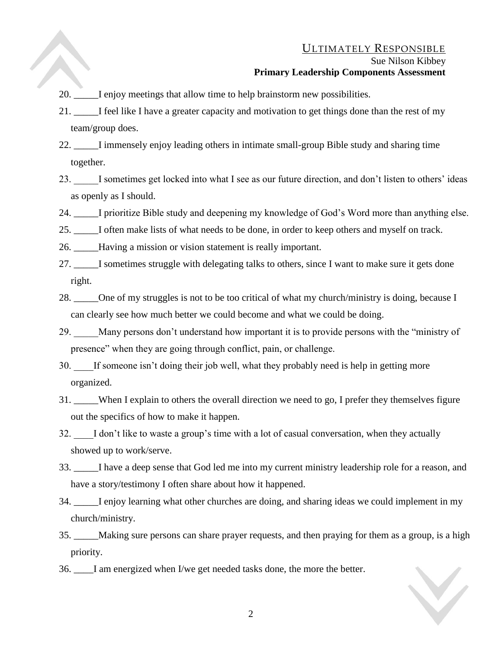## ULTIMATELY RESPONSIBLE

## Sue Nilson Kibbey **Primary Leadership Components Assessment**

- 20. \_\_\_\_\_I enjoy meetings that allow time to help brainstorm new possibilities.
- 21. \_\_\_\_\_I feel like I have a greater capacity and motivation to get things done than the rest of my team/group does.
- 22. I immensely enjoy leading others in intimate small-group Bible study and sharing time together.
- 23. \_\_\_\_\_I sometimes get locked into what I see as our future direction, and don't listen to others' ideas as openly as I should.
- 24. \_\_\_\_\_I prioritize Bible study and deepening my knowledge of God's Word more than anything else.
- 25. I often make lists of what needs to be done, in order to keep others and myself on track.
- 26. \_\_\_\_\_Having a mission or vision statement is really important.
- 27. \_\_\_\_\_I sometimes struggle with delegating talks to others, since I want to make sure it gets done right.
- 28. One of my struggles is not to be too critical of what my church/ministry is doing, because I can clearly see how much better we could become and what we could be doing.
- 29. Many persons don't understand how important it is to provide persons with the "ministry of presence" when they are going through conflict, pain, or challenge.
- 30. If someone isn't doing their job well, what they probably need is help in getting more organized.
- 31. \_\_\_\_\_When I explain to others the overall direction we need to go, I prefer they themselves figure out the specifics of how to make it happen.
- 32. \_\_\_\_I don't like to waste a group's time with a lot of casual conversation, when they actually showed up to work/serve.
- 33. \_\_\_\_\_I have a deep sense that God led me into my current ministry leadership role for a reason, and have a story/testimony I often share about how it happened.
- 34. I enjoy learning what other churches are doing, and sharing ideas we could implement in my church/ministry.
- 35. \_\_\_\_\_Making sure persons can share prayer requests, and then praying for them as a group, is a high priority.
- 36. \_\_\_\_I am energized when I/we get needed tasks done, the more the better.